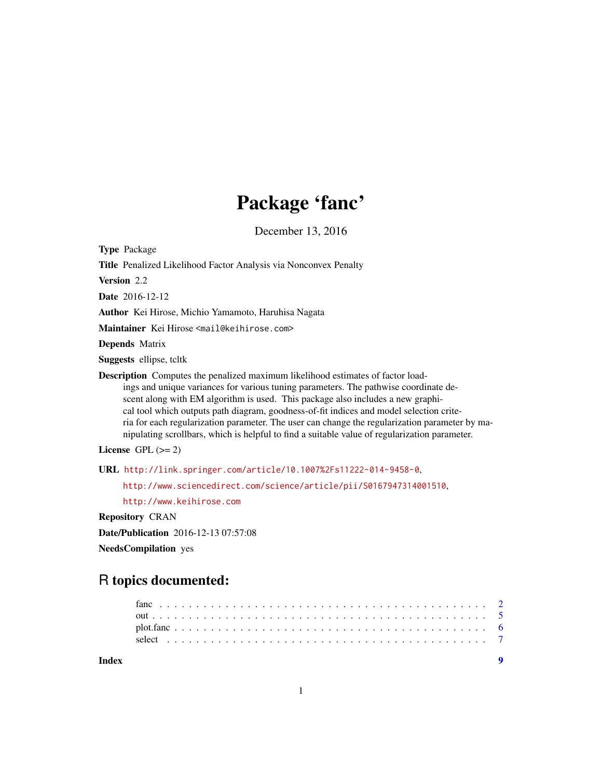## Package 'fanc'

December 13, 2016

Type Package Title Penalized Likelihood Factor Analysis via Nonconvex Penalty Version 2.2 Date 2016-12-12 Author Kei Hirose, Michio Yamamoto, Haruhisa Nagata Maintainer Kei Hirose <mail@keihirose.com> Depends Matrix Suggests ellipse, tcltk Description Computes the penalized maximum likelihood estimates of factor loadings and unique variances for various tuning parameters. The pathwise coordinate descent along with EM algorithm is used. This package also includes a new graphical tool which outputs path diagram, goodness-of-fit indices and model selection criteria for each regularization parameter. The user can change the regularization parameter by manipulating scrollbars, which is helpful to find a suitable value of regularization parameter. License GPL  $(>= 2)$ URL <http://link.springer.com/article/10.1007%2Fs11222-014-9458-0>,

<http://www.sciencedirect.com/science/article/pii/S0167947314001510>,

<http://www.keihirose.com>

Repository CRAN

Date/Publication 2016-12-13 07:57:08

NeedsCompilation yes

### R topics documented:

**Index** [9](#page-8-0)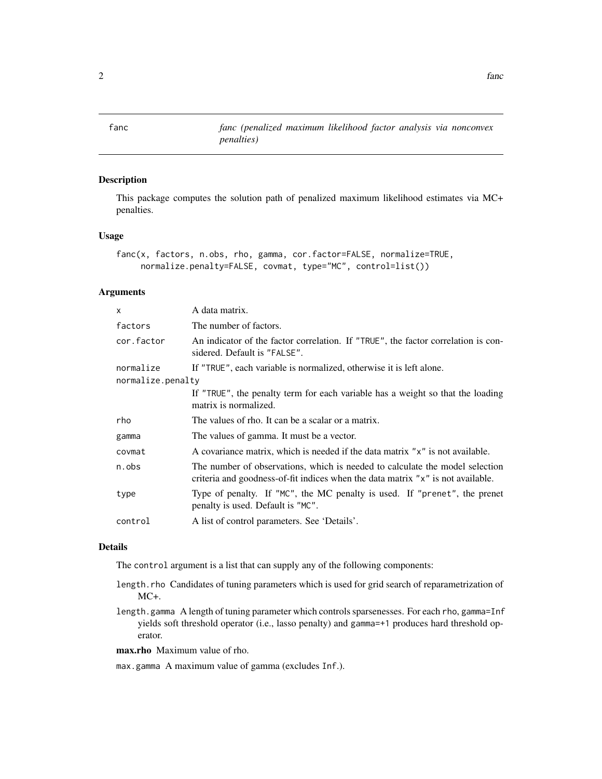<span id="page-1-0"></span>fanc *fanc (penalized maximum likelihood factor analysis via nonconvex penalties)*

#### Description

This package computes the solution path of penalized maximum likelihood estimates via MC+ penalties.

#### Usage

```
fanc(x, factors, n.obs, rho, gamma, cor.factor=FALSE, normalize=TRUE,
     normalize.penalty=FALSE, covmat, type="MC", control=list())
```
#### Arguments

| X                 | A data matrix.                                                                                                                                                  |
|-------------------|-----------------------------------------------------------------------------------------------------------------------------------------------------------------|
| factors           | The number of factors.                                                                                                                                          |
| cor.factor        | An indicator of the factor correlation. If "TRUE", the factor correlation is con-<br>sidered. Default is "FALSE".                                               |
| normalize         | If "TRUE", each variable is normalized, otherwise it is left alone.                                                                                             |
| normalize.penalty |                                                                                                                                                                 |
|                   | If "TRUE", the penalty term for each variable has a weight so that the loading<br>matrix is normalized.                                                         |
| rho               | The values of rho. It can be a scalar or a matrix.                                                                                                              |
| gamma             | The values of gamma. It must be a vector.                                                                                                                       |
| covmat            | A covariance matrix, which is needed if the data matrix "x" is not available.                                                                                   |
| n.obs             | The number of observations, which is needed to calculate the model selection<br>criteria and goodness-of-fit indices when the data matrix "x" is not available. |
| type              | Type of penalty. If "MC", the MC penalty is used. If "prenet", the prenet<br>penalty is used. Default is "MC".                                                  |
| control           | A list of control parameters. See 'Details'.                                                                                                                    |

#### Details

The control argument is a list that can supply any of the following components:

- length.rho Candidates of tuning parameters which is used for grid search of reparametrization of MC+.
- length.gamma A length of tuning parameter which controls sparsenesses. For each rho, gamma=Inf yields soft threshold operator (i.e., lasso penalty) and gamma=+1 produces hard threshold operator.

max.rho Maximum value of rho.

max.gamma A maximum value of gamma (excludes Inf.).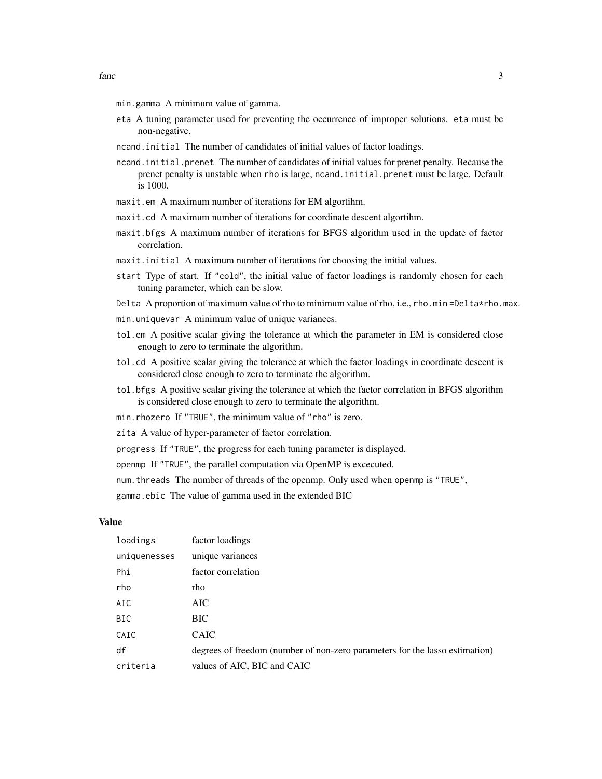- min.gamma A minimum value of gamma.
- eta A tuning parameter used for preventing the occurrence of improper solutions. eta must be non-negative.
- ncand.initial The number of candidates of initial values of factor loadings.
- ncand.initial.prenet The number of candidates of initial values for prenet penalty. Because the prenet penalty is unstable when rho is large, ncand.initial.prenet must be large. Default is 1000.
- maxit.em A maximum number of iterations for EM algortihm.
- maxit.cd A maximum number of iterations for coordinate descent algortihm.
- maxit.bfgs A maximum number of iterations for BFGS algorithm used in the update of factor correlation.
- maxit.initial A maximum number of iterations for choosing the initial values.
- start Type of start. If "cold", the initial value of factor loadings is randomly chosen for each tuning parameter, which can be slow.
- Delta A proportion of maximum value of rho to minimum value of rho, i.e., rho.min =Delta\*rho.max.
- min.uniquevar A minimum value of unique variances.
- tol.em A positive scalar giving the tolerance at which the parameter in EM is considered close enough to zero to terminate the algorithm.
- tol.cd A positive scalar giving the tolerance at which the factor loadings in coordinate descent is considered close enough to zero to terminate the algorithm.
- tol.bfgs A positive scalar giving the tolerance at which the factor correlation in BFGS algorithm is considered close enough to zero to terminate the algorithm.
- min.rhozero If "TRUE", the minimum value of "rho" is zero.
- zita A value of hyper-parameter of factor correlation.
- progress If "TRUE", the progress for each tuning parameter is displayed.
- openmp If "TRUE", the parallel computation via OpenMP is excecuted.

num.threads The number of threads of the openmp. Only used when openmp is "TRUE",

gamma.ebic The value of gamma used in the extended BIC

#### Value

| loadings     | factor loadings                                                             |
|--------------|-----------------------------------------------------------------------------|
| uniquenesses | unique variances                                                            |
| Phi          | factor correlation                                                          |
| rho          | rho                                                                         |
| AIC          | AIC                                                                         |
| <b>BIC</b>   | <b>BIC</b>                                                                  |
| CAIC         | <b>CAIC</b>                                                                 |
| df           | degrees of freedom (number of non-zero parameters for the lasso estimation) |
| criteria     | values of AIC, BIC and CAIC                                                 |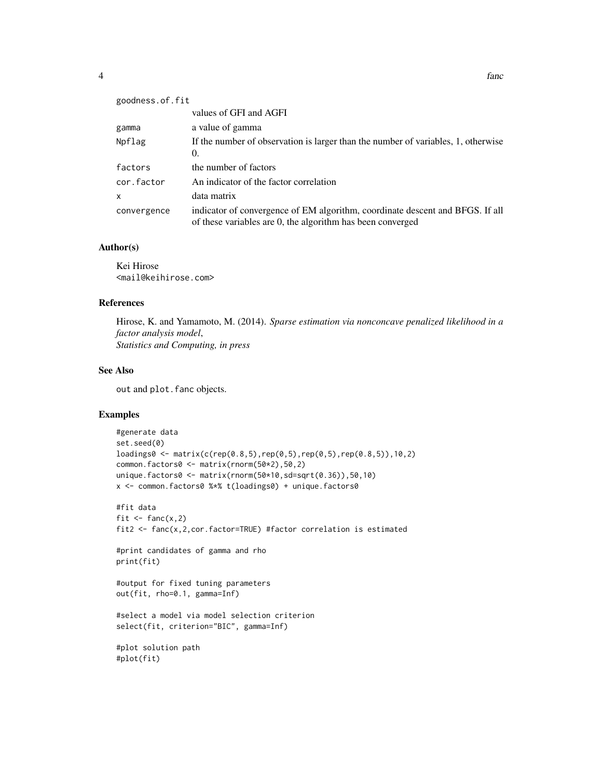| goodness.of.fit |                                                                                                                                             |
|-----------------|---------------------------------------------------------------------------------------------------------------------------------------------|
|                 | values of GFI and AGFI                                                                                                                      |
| gamma           | a value of gamma                                                                                                                            |
| Npflag          | If the number of observation is larger than the number of variables, 1, otherwise<br>$\Omega$ .                                             |
| factors         | the number of factors                                                                                                                       |
| cor.factor      | An indicator of the factor correlation                                                                                                      |
| X               | data matrix                                                                                                                                 |
| convergence     | indicator of convergence of EM algorithm, coordinate descent and BFGS. If all<br>of these variables are 0, the algorithm has been converged |

#### Author(s)

Kei Hirose <mail@keihirose.com>

#### References

Hirose, K. and Yamamoto, M. (2014). *Sparse estimation via nonconcave penalized likelihood in a factor analysis model*, *Statistics and Computing, in press*

#### See Also

out and plot.fanc objects.

#### Examples

```
#generate data
set.seed(0)
loadings0 <- matrix(c(rep(0.8,5),rep(0,5),rep(0,5),rep(0.8,5)),10,2)
common.factors0 <- matrix(rnorm(50*2),50,2)
unique.factors0 <- matrix(rnorm(50*10,sd=sqrt(0.36)),50,10)
x <- common.factors0 %*% t(loadings0) + unique.factors0
#fit data
```

```
fit \leftarrow fanc(x, 2)fit2 <- fanc(x,2,cor.factor=TRUE) #factor correlation is estimated
```
#print candidates of gamma and rho print(fit)

```
#output for fixed tuning parameters
out(fit, rho=0.1, gamma=Inf)
```

```
#select a model via model selection criterion
select(fit, criterion="BIC", gamma=Inf)
```

```
#plot solution path
#plot(fit)
```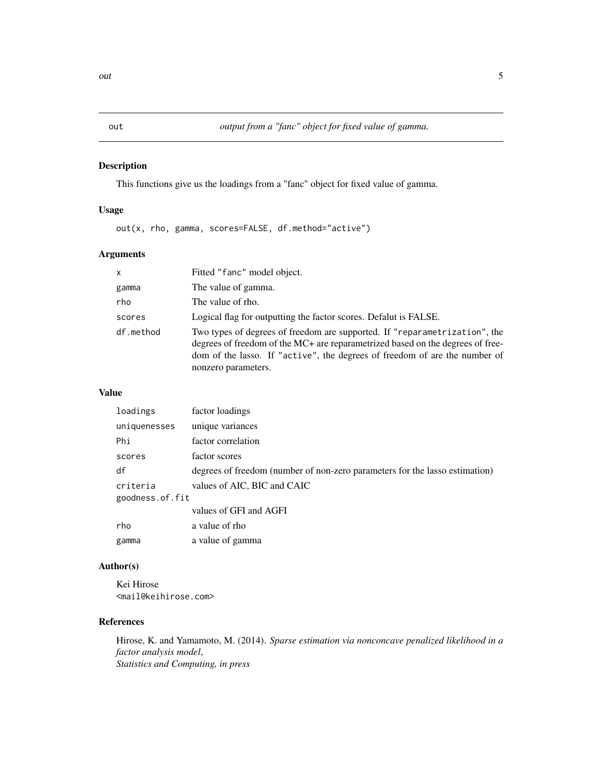#### Description

This functions give us the loadings from a "fanc" object for fixed value of gamma.

#### Usage

out(x, rho, gamma, scores=FALSE, df.method="active")

#### Arguments

| X         | Fitted "fanc" model object.                                                                                                                                                                                                                                       |
|-----------|-------------------------------------------------------------------------------------------------------------------------------------------------------------------------------------------------------------------------------------------------------------------|
| gamma     | The value of gamma.                                                                                                                                                                                                                                               |
| rho       | The value of rho.                                                                                                                                                                                                                                                 |
| scores    | Logical flag for outputting the factor scores. Defalut is FALSE.                                                                                                                                                                                                  |
| df.method | Two types of degrees of freedom are supported. If "reparametrization", the<br>degrees of freedom of the MC+ are reparametrized based on the degrees of free-<br>dom of the lasso. If "active", the degrees of freedom of are the number of<br>nonzero parameters. |

#### Value

| loadings        | factor loadings                                                             |
|-----------------|-----------------------------------------------------------------------------|
| uniquenesses    | unique variances                                                            |
| Phi             | factor correlation                                                          |
| scores          | factor scores                                                               |
| df              | degrees of freedom (number of non-zero parameters for the lasso estimation) |
| criteria        | values of AIC, BIC and CAIC                                                 |
| goodness.of.fit |                                                                             |
|                 | values of GFI and AGFI                                                      |
| rho             | a value of rho                                                              |
| gamma           | a value of gamma                                                            |

#### Author(s)

Kei Hirose <mail@keihirose.com>

#### References

Hirose, K. and Yamamoto, M. (2014). *Sparse estimation via nonconcave penalized likelihood in a factor analysis model*, *Statistics and Computing, in press*

<span id="page-4-0"></span>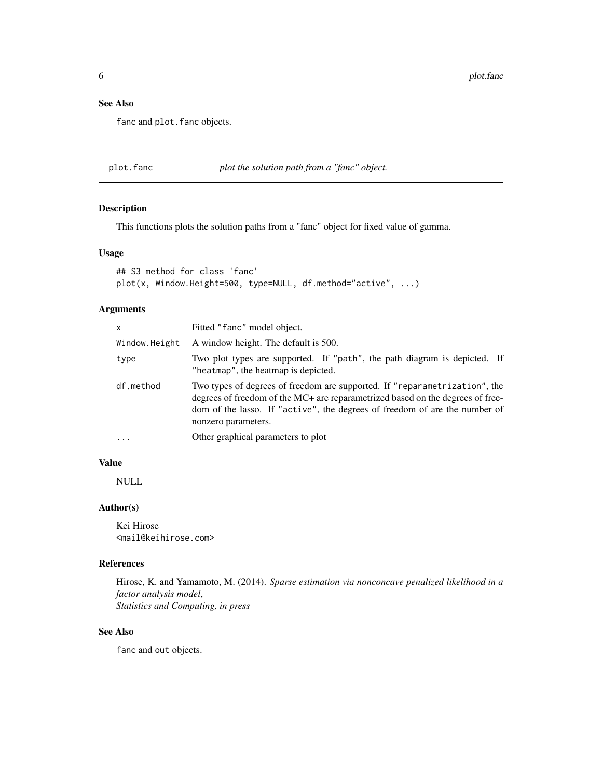#### <span id="page-5-0"></span>See Also

fanc and plot. fanc objects.

plot.fanc *plot the solution path from a "fanc" object.*

#### Description

This functions plots the solution paths from a "fanc" object for fixed value of gamma.

#### Usage

```
## S3 method for class 'fanc'
plot(x, Window.Height=500, type=NULL, df.method="active", ...)
```
#### Arguments

| x             | Fitted "fanc" model object.                                                                                                                                                                                                                                       |
|---------------|-------------------------------------------------------------------------------------------------------------------------------------------------------------------------------------------------------------------------------------------------------------------|
| Window.Height | A window height. The default is 500.                                                                                                                                                                                                                              |
| type          | Two plot types are supported. If "path", the path diagram is depicted. If<br>"heatmap", the heatmap is depicted.                                                                                                                                                  |
| df.method     | Two types of degrees of freedom are supported. If "reparametrization", the<br>degrees of freedom of the MC+ are reparametrized based on the degrees of free-<br>dom of the lasso. If "active", the degrees of freedom of are the number of<br>nonzero parameters. |
| $\ddots$      | Other graphical parameters to plot                                                                                                                                                                                                                                |
|               |                                                                                                                                                                                                                                                                   |

#### Value

NULL

#### Author(s)

Kei Hirose <mail@keihirose.com>

#### References

Hirose, K. and Yamamoto, M. (2014). *Sparse estimation via nonconcave penalized likelihood in a factor analysis model*, *Statistics and Computing, in press*

#### See Also

fanc and out objects.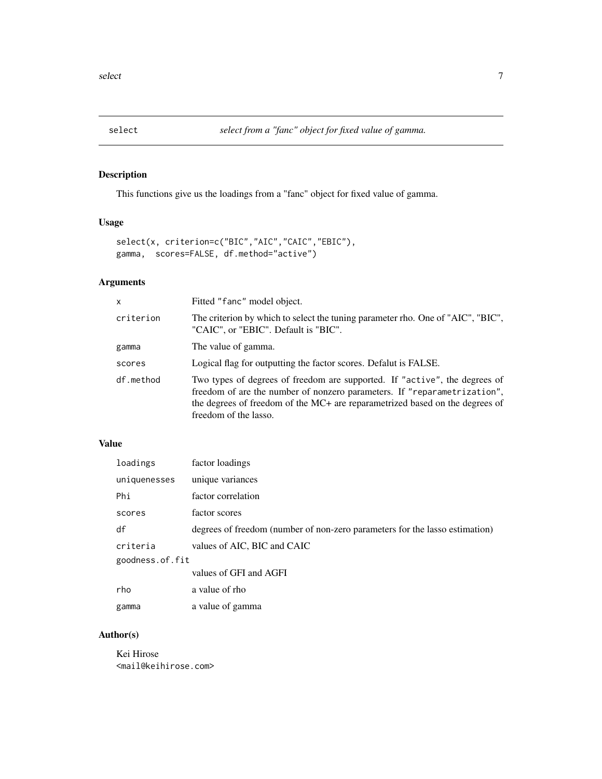#### <span id="page-6-0"></span>Description

This functions give us the loadings from a "fanc" object for fixed value of gamma.

#### Usage

```
select(x, criterion=c("BIC","AIC","CAIC","EBIC"),
gamma, scores=FALSE, df.method="active")
```
#### Arguments

| X         | Fitted "fanc" model object.                                                                                                                                                                                                                                     |
|-----------|-----------------------------------------------------------------------------------------------------------------------------------------------------------------------------------------------------------------------------------------------------------------|
| criterion | The criterion by which to select the tuning parameter rho. One of "AIC", "BIC",<br>"CAIC", or "EBIC". Default is "BIC".                                                                                                                                         |
| gamma     | The value of gamma.                                                                                                                                                                                                                                             |
| scores    | Logical flag for outputting the factor scores. Defalut is FALSE.                                                                                                                                                                                                |
| df.method | Two types of degrees of freedom are supported. If "active", the degrees of<br>freedom of are the number of nonzero parameters. If "reparametrization",<br>the degrees of freedom of the MC+ are reparametrized based on the degrees of<br>freedom of the lasso. |

#### Value

| loadings        | factor loadings                                                             |
|-----------------|-----------------------------------------------------------------------------|
| uniquenesses    | unique variances                                                            |
| Phi             | factor correlation                                                          |
| scores          | factor scores                                                               |
| df              | degrees of freedom (number of non-zero parameters for the lasso estimation) |
| criteria        | values of AIC, BIC and CAIC                                                 |
| goodness.of.fit |                                                                             |
|                 | values of GFI and AGFI                                                      |
| rho             | a value of rho                                                              |
| gamma           | a value of gamma                                                            |

#### Author(s)

Kei Hirose <mail@keihirose.com>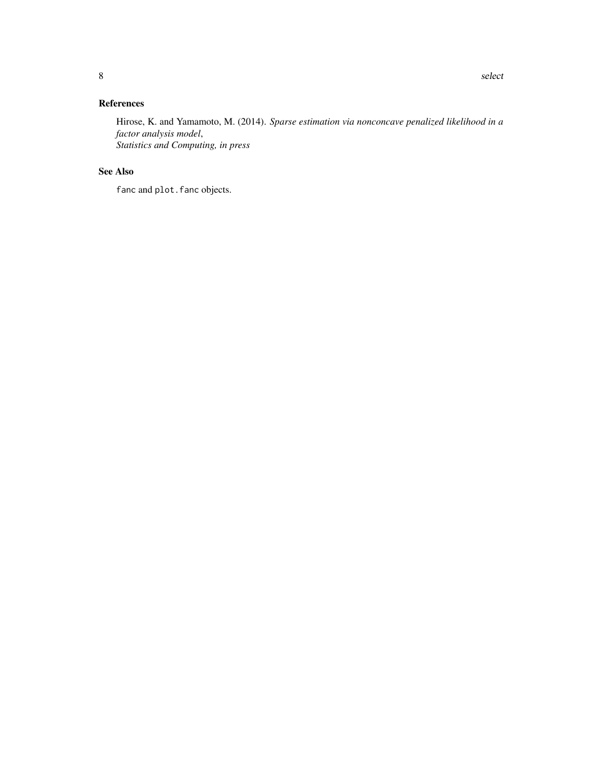#### References

Hirose, K. and Yamamoto, M. (2014). *Sparse estimation via nonconcave penalized likelihood in a factor analysis model*, *Statistics and Computing, in press*

#### See Also

fanc and plot. fanc objects.